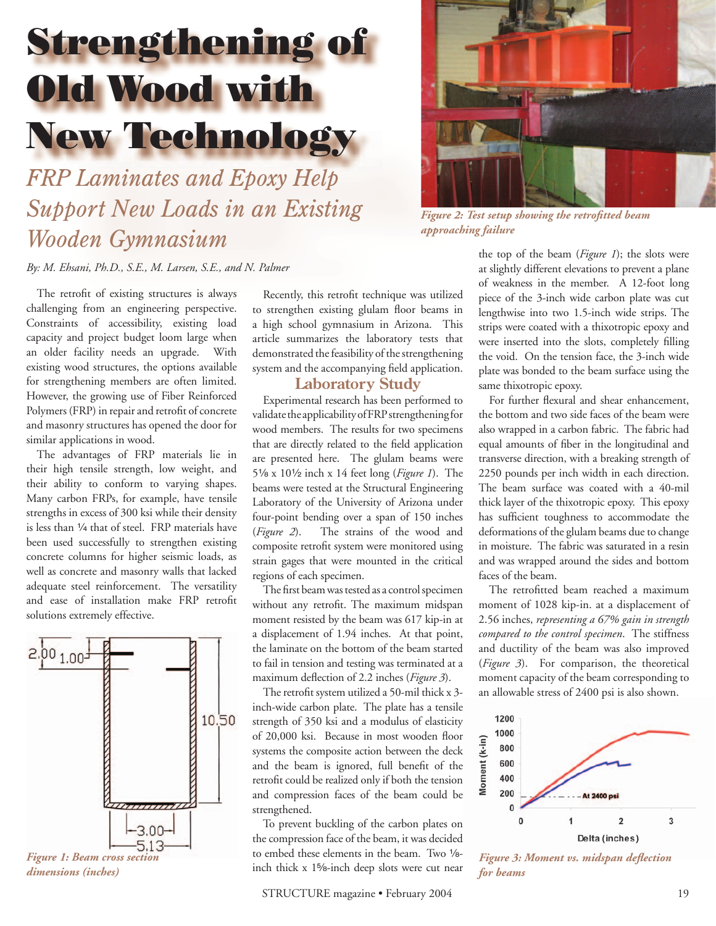# Strengthening of Old Wood with New Technology

*FRP Laminates and Epoxy Help Support New Loads in an Existing Wooden Gymnasium*



*Figure 2: Test setup showing the retrofitted beam approaching failure*

*By: M. Ehsani, Ph.D., S.E., M. Larsen, S.E., and N. Palmer*

The retrofit of existing structures is always challenging from an engineering perspective. Constraints of accessibility, existing load capacity and project budget loom large when an older facility needs an upgrade. With existing wood structures, the options available for strengthening members are often limited. However, the growing use of Fiber Reinforced Polymers (FRP) in repair and retrofit of concrete and masonry structures has opened the door for similar applications in wood.

The advantages of FRP materials lie in their high tensile strength, low weight, and their ability to conform to varying shapes. Many carbon FRPs, for example, have tensile strengths in excess of 300 ksi while their density is less than 1/4 that of steel. FRP materials have been used successfully to strengthen existing concrete columns for higher seismic loads, as well as concrete and masonry walls that lacked adequate steel reinforcement. The versatility and ease of installation make FRP retrofit solutions extremely effective.



Recently, this retrofit technique was utilized to strengthen existing glulam floor beams in a high school gymnasium in Arizona. This article summarizes the laboratory tests that demonstrated the feasibility of the strengthening system and the accompanying field application.

#### **Laboratory Study**

Experimental research has been performed to validate the applicability of FRP strengthening for wood members. The results for two specimens that are directly related to the field application are presented here. The glulam beams were 5c x 102 inch x 14 feet long (*Figure 1*). The beams were tested at the Structural Engineering Laboratory of the University of Arizona under four-point bending over a span of 150 inches (*Figure 2*). The strains of the wood and composite retrofit system were monitored using strain gages that were mounted in the critical regions of each specimen.

The first beam was tested as a control specimen without any retrofit. The maximum midspan moment resisted by the beam was 617 kip-in at a displacement of 1.94 inches. At that point, the laminate on the bottom of the beam started to fail in tension and testing was terminated at a maximum deflection of 2.2 inches (*Figure 3*).

The retrofit system utilized a 50-mil thick  $x$  3inch-wide carbon plate. The plate has a tensile strength of 350 ksi and a modulus of elasticity of 20,000 ksi. Because in most wooden floor systems the composite action between the deck and the beam is ignored, full benefit of the retrofit could be realized only if both the tension and compression faces of the beam could be strengthened.

To prevent buckling of the carbon plates on the compression face of the beam, it was decided to embed these elements in the beam. Two 1/8inch thick  $x$  1%-inch deep slots were cut near

the top of the beam (*Figure 1*); the slots were at slightly different elevations to prevent a plane of weakness in the member. A 12-foot long piece of the 3-inch wide carbon plate was cut lengthwise into two 1.5-inch wide strips. The strips were coated with a thixotropic epoxy and were inserted into the slots, completely filling the void. On the tension face, the 3-inch wide plate was bonded to the beam surface using the same thixotropic epoxy.

For further flexural and shear enhancement, the bottom and two side faces of the beam were also wrapped in a carbon fabric. The fabric had equal amounts of fiber in the longitudinal and transverse direction, with a breaking strength of 2250 pounds per inch width in each direction. The beam surface was coated with a 40-mil thick layer of the thixotropic epoxy. This epoxy has sufficient toughness to accommodate the deformations of the glulam beams due to change in moisture. The fabric was saturated in a resin and was wrapped around the sides and bottom faces of the beam.

The retrofitted beam reached a maximum moment of 1028 kip-in. at a displacement of 2.56 inches, *representing a 67% gain in strength compared to the control specimen*. The stiffness and ductility of the beam was also improved (*Figure 3*). For comparison, the theoretical moment capacity of the beam corresponding to an allowable stress of 2400 psi is also shown.



*Figure 3: Moment vs. midspan defl ection for beams*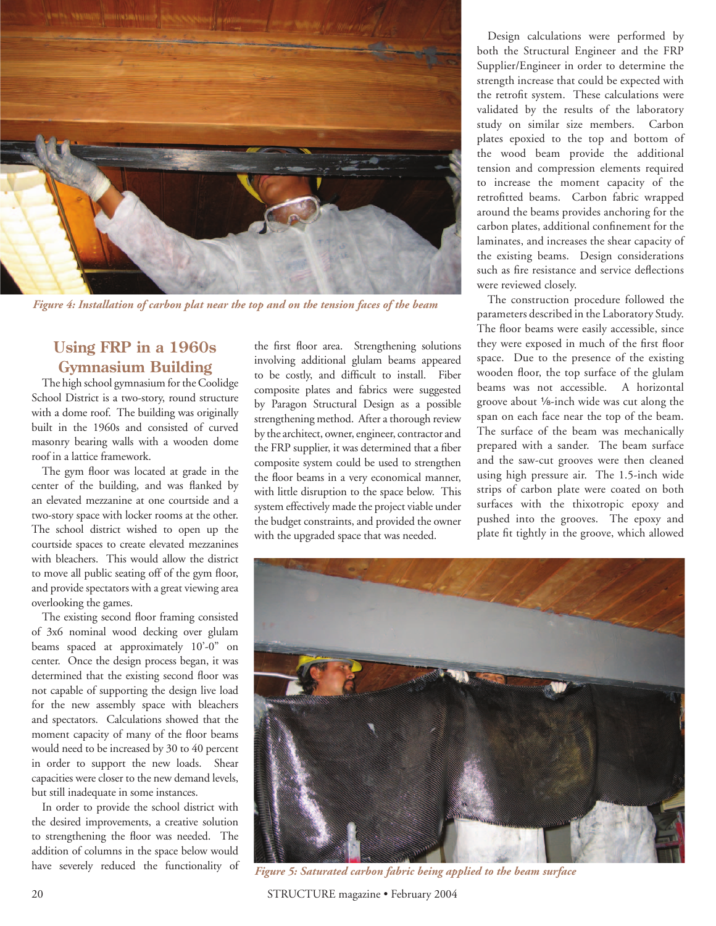

*Figure 4: Installation of carbon plat near the top and on the tension faces of the beam*

## **Using FRP in a 1960s Gymnasium Building**

The high school gymnasium for the Coolidge School District is a two-story, round structure with a dome roof. The building was originally built in the 1960s and consisted of curved masonry bearing walls with a wooden dome roof in a lattice framework.

The gym floor was located at grade in the center of the building, and was flanked by an elevated mezzanine at one courtside and a two-story space with locker rooms at the other. The school district wished to open up the courtside spaces to create elevated mezzanines with bleachers. This would allow the district to move all public seating off of the gym floor, and provide spectators with a great viewing area overlooking the games.

The existing second floor framing consisted of 3x6 nominal wood decking over glulam beams spaced at approximately 10'-0" on center. Once the design process began, it was determined that the existing second floor was not capable of supporting the design live load for the new assembly space with bleachers and spectators. Calculations showed that the moment capacity of many of the floor beams would need to be increased by 30 to 40 percent in order to support the new loads. Shear capacities were closer to the new demand levels, but still inadequate in some instances.

In order to provide the school district with the desired improvements, a creative solution to strengthening the floor was needed. The addition of columns in the space below would have severely reduced the functionality of the first floor area. Strengthening solutions involving additional glulam beams appeared to be costly, and difficult to install. Fiber composite plates and fabrics were suggested by Paragon Structural Design as a possible strengthening method. After a thorough review by the architect, owner, engineer, contractor and the FRP supplier, it was determined that a fiber composite system could be used to strengthen the floor beams in a very economical manner, with little disruption to the space below. This system effectively made the project viable under the budget constraints, and provided the owner with the upgraded space that was needed.

Design calculations were performed by both the Structural Engineer and the FRP Supplier/Engineer in order to determine the strength increase that could be expected with the retrofit system. These calculations were validated by the results of the laboratory study on similar size members. Carbon plates epoxied to the top and bottom of the wood beam provide the additional tension and compression elements required to increase the moment capacity of the retrofitted beams. Carbon fabric wrapped around the beams provides anchoring for the carbon plates, additional confinement for the laminates, and increases the shear capacity of the existing beams. Design considerations such as fire resistance and service deflections were reviewed closely.

The construction procedure followed the parameters described in the Laboratory Study. The floor beams were easily accessible, since they were exposed in much of the first floor space. Due to the presence of the existing wooden floor, the top surface of the glulam beams was not accessible. A horizontal groove about 1/8-inch wide was cut along the span on each face near the top of the beam. The surface of the beam was mechanically prepared with a sander. The beam surface and the saw-cut grooves were then cleaned using high pressure air. The 1.5-inch wide strips of carbon plate were coated on both surfaces with the thixotropic epoxy and pushed into the grooves. The epoxy and plate fit tightly in the groove, which allowed



*Figure 5: Saturated carbon fabric being applied to the beam surface*